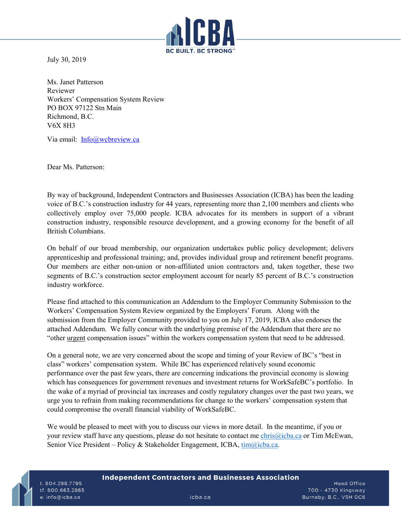

July 30, 2019

Ms. Janet Patterson Reviewer Workers' Compensation System Review PO BOX 97122 Stn Main Richmond, B.C. V6X 8H3

Via email: [Info@wcbreview.ca](mailto:Info@wcbreview.ca)

Dear Ms. Patterson:

By way of background, Independent Contractors and Businesses Association (ICBA) has been the leading voice of B.C.'s construction industry for 44 years, representing more than 2,100 members and clients who collectively employ over 75,000 people. ICBA advocates for its members in support of a vibrant construction industry, responsible resource development, and a growing economy for the benefit of all British Columbians.

On behalf of our broad membership, our organization undertakes public policy development; delivers apprenticeship and professional training; and, provides individual group and retirement benefit programs. Our members are either non-union or non-affiliated union contractors and, taken together, these two segments of B.C.'s construction sector employment account for nearly 85 percent of B.C.'s construction industry workforce.

Please find attached to this communication an Addendum to the Employer Community Submission to the Workers' Compensation System Review organized by the Employers' Forum. Along with the submission from the Employer Community provided to you on July 17, 2019, ICBA also endorses the attached Addendum. We fully concur with the underlying premise of the Addendum that there are no "other urgent compensation issues" within the workers compensation system that need to be addressed.

On a general note, we are very concerned about the scope and timing of your Review of BC's "best in class" workers' compensation system. While BC has experienced relatively sound economic performance over the past few years, there are concerning indications the provincial economy is slowing which has consequences for government revenues and investment returns for WorkSafeBC's portfolio. In the wake of a myriad of provincial tax increases and costly regulatory changes over the past two years, we urge you to refrain from making recommendations for change to the workers' compensation system that could compromise the overall financial viability of WorkSafeBC.

We would be pleased to meet with you to discuss our views in more detail. In the meantime, if you or your review staff have any questions, please do not hesitate to contact me [chris@icba.ca](mailto:chris@icba.ca) or Tim McEwan, Senior Vice President – Policy & Stakeholder Engagement, ICBA, [tim@icba.ca.](mailto:tim@icba.ca)

## **Independent Contractors and Businesses Association**

t. 604.298.7795 tf. 800.663.2865 e. info@icba.ca

**Head Office** 700 - 4730 Kingsway Burnaby, B.C., V5H OC6